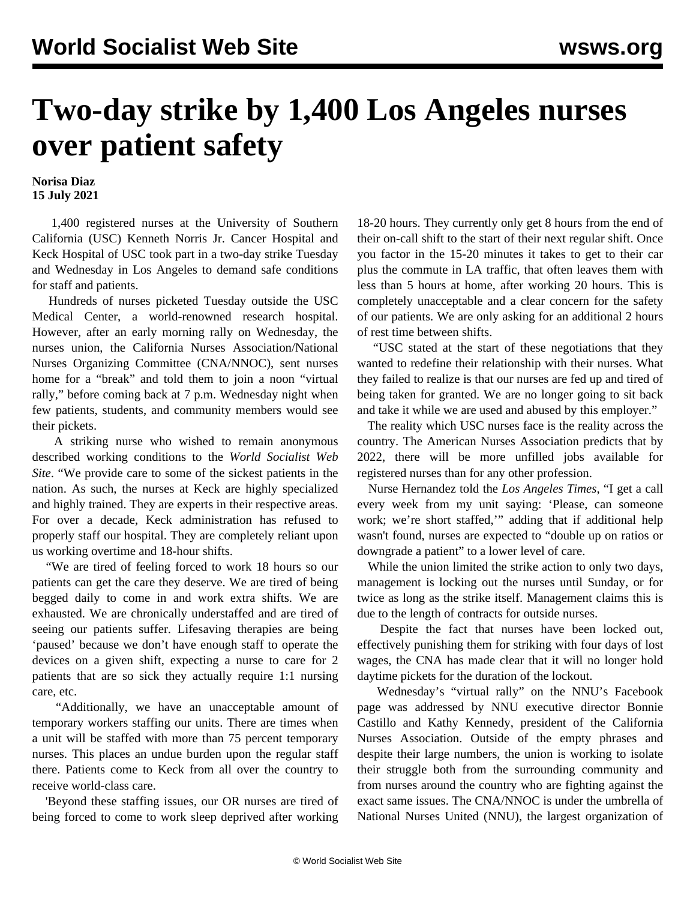## **Two-day strike by 1,400 Los Angeles nurses over patient safety**

**Norisa Diaz 15 July 2021**

 1,400 registered nurses at the University of Southern California (USC) Kenneth Norris Jr. Cancer Hospital and Keck Hospital of USC took part in a two-day strike Tuesday and Wednesday in Los Angeles to demand safe conditions for staff and patients.

 Hundreds of nurses picketed Tuesday outside the USC Medical Center, a world-renowned research hospital. However, after an early morning rally on Wednesday, the nurses union, the California Nurses Association/National Nurses Organizing Committee (CNA/NNOC), sent nurses home for a "break" and told them to join a noon "virtual rally," before coming back at 7 p.m. Wednesday night when few patients, students, and community members would see their pickets.

 A striking nurse who wished to remain anonymous described working conditions to the *World Socialist Web Site*. "We provide care to some of the sickest patients in the nation. As such, the nurses at Keck are highly specialized and highly trained. They are experts in their respective areas. For over a decade, Keck administration has refused to properly staff our hospital. They are completely reliant upon us working overtime and 18-hour shifts.

 "We are tired of feeling forced to work 18 hours so our patients can get the care they deserve. We are tired of being begged daily to come in and work extra shifts. We are exhausted. We are chronically understaffed and are tired of seeing our patients suffer. Lifesaving therapies are being 'paused' because we don't have enough staff to operate the devices on a given shift, expecting a nurse to care for 2 patients that are so sick they actually require 1:1 nursing care, etc.

 "Additionally, we have an unacceptable amount of temporary workers staffing our units. There are times when a unit will be staffed with more than 75 percent temporary nurses. This places an undue burden upon the regular staff there. Patients come to Keck from all over the country to receive world-class care.

 'Beyond these staffing issues, our OR nurses are tired of being forced to come to work sleep deprived after working 18-20 hours. They currently only get 8 hours from the end of their on-call shift to the start of their next regular shift. Once you factor in the 15-20 minutes it takes to get to their car plus the commute in LA traffic, that often leaves them with less than 5 hours at home, after working 20 hours. This is completely unacceptable and a clear concern for the safety of our patients. We are only asking for an additional 2 hours of rest time between shifts.

 "USC stated at the start of these negotiations that they wanted to redefine their relationship with their nurses. What they failed to realize is that our nurses are fed up and tired of being taken for granted. We are no longer going to sit back and take it while we are used and abused by this employer."

 The reality which USC nurses face is the reality across the country. The American Nurses Association predicts that by 2022, there will be more unfilled jobs available for registered nurses than for any other profession.

 Nurse Hernandez told the *Los Angeles Times*, "I get a call every week from my unit saying: 'Please, can someone work; we're short staffed,'" adding that if additional help wasn't found, nurses are expected to "double up on ratios or downgrade a patient" to a lower level of care.

 While the union limited the strike action to only two days, management is locking out the nurses until Sunday, or for twice as long as the strike itself. Management claims this is due to the length of contracts for outside nurses.

 Despite the fact that nurses have been locked out, effectively punishing them for striking with four days of lost wages, the CNA has made clear that it will no longer hold daytime pickets for the duration of the lockout.

 Wednesday's "virtual rally" on the NNU's Facebook page was addressed by NNU executive director Bonnie Castillo and Kathy Kennedy, president of the California Nurses Association. Outside of the empty phrases and despite their large numbers, the union is working to isolate their struggle both from the surrounding community and from nurses around the country who are fighting against the exact same issues. The CNA/NNOC is under the umbrella of National Nurses United (NNU), the largest organization of